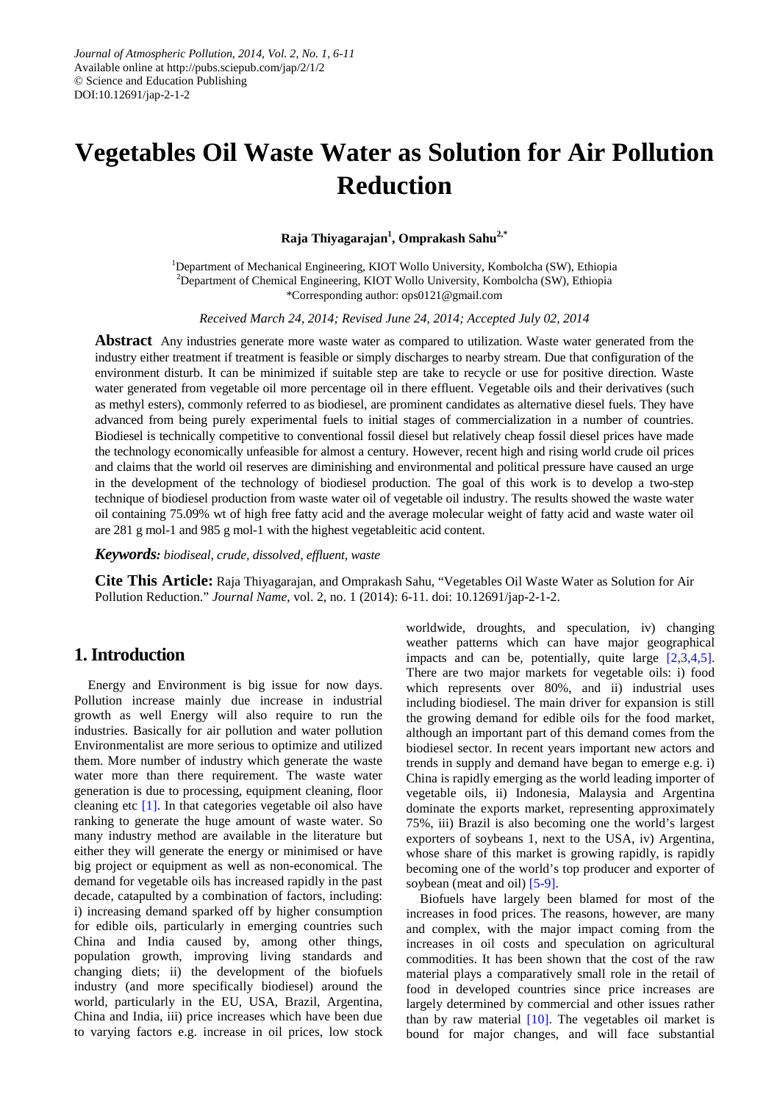# **Vegetables Oil Waste Water as Solution for Air Pollution Reduction**

**Raja Thiyagarajan1 , Omprakash Sahu2,\***

<sup>1</sup>Department of Mechanical Engineering, KIOT Wollo University, Kombolcha (SW), Ethiopia 2 Department of Chemical Engineering, KIOT Wollo University, Kombolcha (SW), Ethiopia \*Corresponding author: ops0121@gmail.com

*Received March 24, 2014; Revised June 24, 2014; Accepted July 02, 2014*

**Abstract** Any industries generate more waste water as compared to utilization. Waste water generated from the industry either treatment if treatment is feasible or simply discharges to nearby stream. Due that configuration of the environment disturb. It can be minimized if suitable step are take to recycle or use for positive direction. Waste water generated from vegetable oil more percentage oil in there effluent. Vegetable oils and their derivatives (such as methyl esters), commonly referred to as biodiesel, are prominent candidates as alternative diesel fuels. They have advanced from being purely experimental fuels to initial stages of commercialization in a number of countries. Biodiesel is technically competitive to conventional fossil diesel but relatively cheap fossil diesel prices have made the technology economically unfeasible for almost a century. However, recent high and rising world crude oil prices and claims that the world oil reserves are diminishing and environmental and political pressure have caused an urge in the development of the technology of biodiesel production. The goal of this work is to develop a two-step technique of biodiesel production from waste water oil of vegetable oil industry. The results showed the waste water oil containing 75.09% wt of high free fatty acid and the average molecular weight of fatty acid and waste water oil are 281 g mol-1 and 985 g mol-1 with the highest vegetableitic acid content.

*Keywords: biodiseal, crude, dissolved, effluent, waste*

**Cite This Article:** Raja Thiyagarajan, and Omprakash Sahu, "Vegetables Oil Waste Water as Solution for Air Pollution Reduction." *Journal Name*, vol. 2, no. 1 (2014): 6-11. doi: 10.12691/jap-2-1-2.

# **1. Introduction**

Energy and Environment is big issue for now days. Pollution increase mainly due increase in industrial growth as well Energy will also require to run the industries. Basically for air pollution and water pollution Environmentalist are more serious to optimize and utilized them. More number of industry which generate the waste water more than there requirement. The waste water generation is due to processing, equipment cleaning, floor cleaning etc [\[1\].](#page-5-0) In that categories vegetable oil also have ranking to generate the huge amount of waste water. So many industry method are available in the literature but either they will generate the energy or minimised or have big project or equipment as well as non-economical. The demand for vegetable oils has increased rapidly in the past decade, catapulted by a combination of factors, including: i) increasing demand sparked off by higher consumption for edible oils, particularly in emerging countries such China and India caused by, among other things, population growth, improving living standards and changing diets; ii) the development of the biofuels industry (and more specifically biodiesel) around the world, particularly in the EU, USA, Brazil, Argentina, China and India, iii) price increases which have been due to varying factors e.g. increase in oil prices, low stock

worldwide, droughts, and speculation, iv) changing weather patterns which can have major geographical impacts and can be, potentially, quite large [\[2,3,4,5\].](#page-5-1) There are two major markets for vegetable oils: i) food which represents over 80%, and ii) industrial uses including biodiesel. The main driver for expansion is still the growing demand for edible oils for the food market, although an important part of this demand comes from the biodiesel sector. In recent years important new actors and trends in supply and demand have began to emerge e.g. i) China is rapidly emerging as the world leading importer of vegetable oils, ii) Indonesia, Malaysia and Argentina dominate the exports market, representing approximately 75%, iii) Brazil is also becoming one the world's largest exporters of soybeans 1, next to the USA, iv) Argentina, whose share of this market is growing rapidly, is rapidly becoming one of the world's top producer and exporter of soybean (meat and oil) [\[5-9\].](#page-5-2)

Biofuels have largely been blamed for most of the increases in food prices. The reasons, however, are many and complex, with the major impact coming from the increases in oil costs and speculation on agricultural commodities. It has been shown that the cost of the raw material plays a comparatively small role in the retail of food in developed countries since price increases are largely determined by commercial and other issues rather than by raw material  $[10]$ . The vegetables oil market is bound for major changes, and will face substantial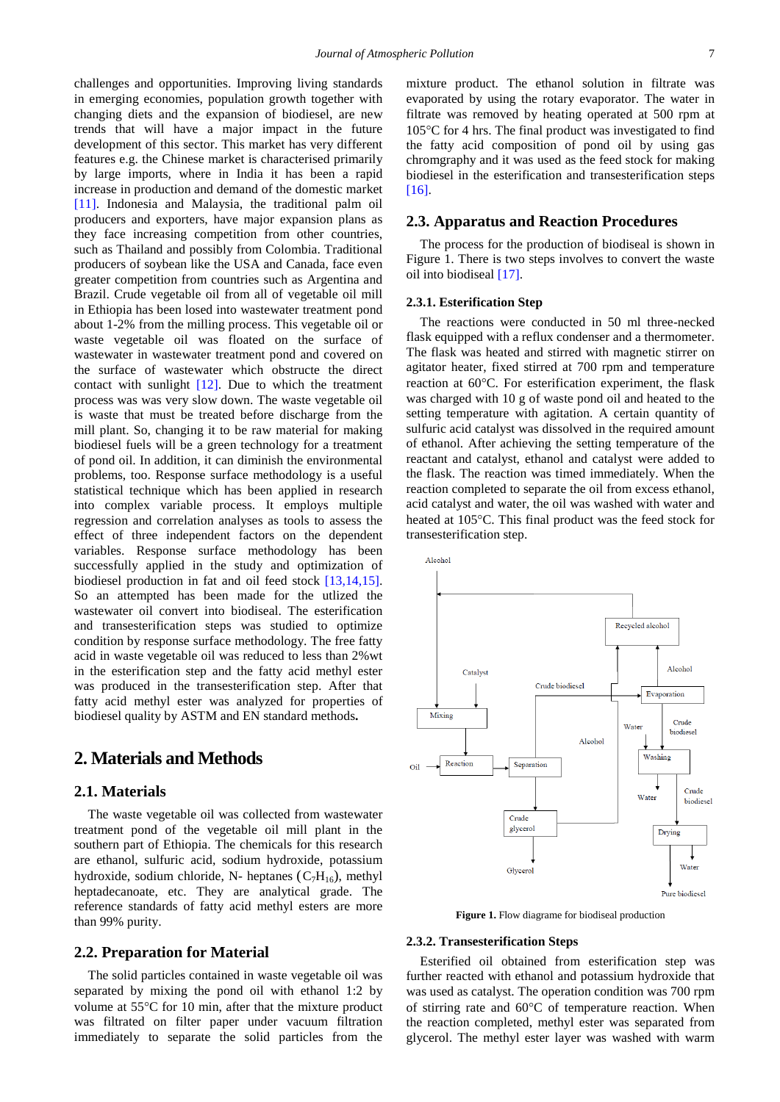challenges and opportunities. Improving living standards in emerging economies, population growth together with changing diets and the expansion of biodiesel, are new trends that will have a major impact in the future development of this sector. This market has very different features e.g. the Chinese market is characterised primarily by large imports, where in India it has been a rapid increase in production and demand of the domestic market [\[11\].](#page-5-4) Indonesia and Malaysia, the traditional palm oil producers and exporters, have major expansion plans as they face increasing competition from other countries, such as Thailand and possibly from Colombia. Traditional producers of soybean like the USA and Canada, face even greater competition from countries such as Argentina and Brazil. Crude vegetable oil from all of vegetable oil mill in Ethiopia has been losed into wastewater treatment pond about 1-2% from the milling process. This vegetable oil or waste vegetable oil was floated on the surface of wastewater in wastewater treatment pond and covered on the surface of wastewater which obstructe the direct contact with sunlight [\[12\].](#page-5-5) Due to which the treatment process was was very slow down. The waste vegetable oil is waste that must be treated before discharge from the mill plant. So, changing it to be raw material for making biodiesel fuels will be a green technology for a treatment of pond oil. In addition, it can diminish the environmental problems, too. Response surface methodology is a useful statistical technique which has been applied in research into complex variable process. It employs multiple regression and correlation analyses as tools to assess the effect of three independent factors on the dependent variables. Response surface methodology has been successfully applied in the study and optimization of biodiesel production in fat and oil feed stock [\[13,14,15\].](#page-5-6) So an attempted has been made for the utlized the wastewater oil convert into biodiseal. The esterification and transesterification steps was studied to optimize condition by response surface methodology. The free fatty acid in waste vegetable oil was reduced to less than 2%wt in the esterification step and the fatty acid methyl ester was produced in the transesterification step. After that fatty acid methyl ester was analyzed for properties of biodiesel quality by ASTM and EN standard methods**.**

# **2. Materials and Methods**

## **2.1. Materials**

The waste vegetable oil was collected from wastewater treatment pond of the vegetable oil mill plant in the southern part of Ethiopia. The chemicals for this research are ethanol, sulfuric acid, sodium hydroxide, potassium hydroxide, sodium chloride, N- heptanes  $(C_7H_{16})$ , methyl heptadecanoate, etc. They are analytical grade. The reference standards of fatty acid methyl esters are more than 99% purity.

# **2.2. Preparation for Material**

The solid particles contained in waste vegetable oil was separated by mixing the pond oil with ethanol 1:2 by volume at 55°C for 10 min, after that the mixture product was filtrated on filter paper under vacuum filtration immediately to separate the solid particles from the mixture product. The ethanol solution in filtrate was evaporated by using the rotary evaporator. The water in filtrate was removed by heating operated at 500 rpm at 105°C for 4 hrs. The final product was investigated to find the fatty acid composition of pond oil by using gas chromgraphy and it was used as the feed stock for making biodiesel in the esterification and transesterification steps [\[16\].](#page-5-7)

### **2.3. Apparatus and Reaction Procedures**

The process for the production of biodiseal is shown in Figure 1. There is two steps involves to convert the waste oil into biodiseal [\[17\].](#page-5-8)

#### **2.3.1. Esterification Step**

The reactions were conducted in 50 ml three-necked flask equipped with a reflux condenser and a thermometer. The flask was heated and stirred with magnetic stirrer on agitator heater, fixed stirred at 700 rpm and temperature reaction at 60°C. For esterification experiment, the flask was charged with 10 g of waste pond oil and heated to the setting temperature with agitation. A certain quantity of sulfuric acid catalyst was dissolved in the required amount of ethanol. After achieving the setting temperature of the reactant and catalyst, ethanol and catalyst were added to the flask. The reaction was timed immediately. When the reaction completed to separate the oil from excess ethanol, acid catalyst and water, the oil was washed with water and heated at 105°C. This final product was the feed stock for transesterification step.



**Figure 1.** Flow diagrame for biodiseal production

#### **2.3.2. Transesterification Steps**

Esterified oil obtained from esterification step was further reacted with ethanol and potassium hydroxide that was used as catalyst. The operation condition was 700 rpm of stirring rate and 60°C of temperature reaction. When the reaction completed, methyl ester was separated from glycerol. The methyl ester layer was washed with warm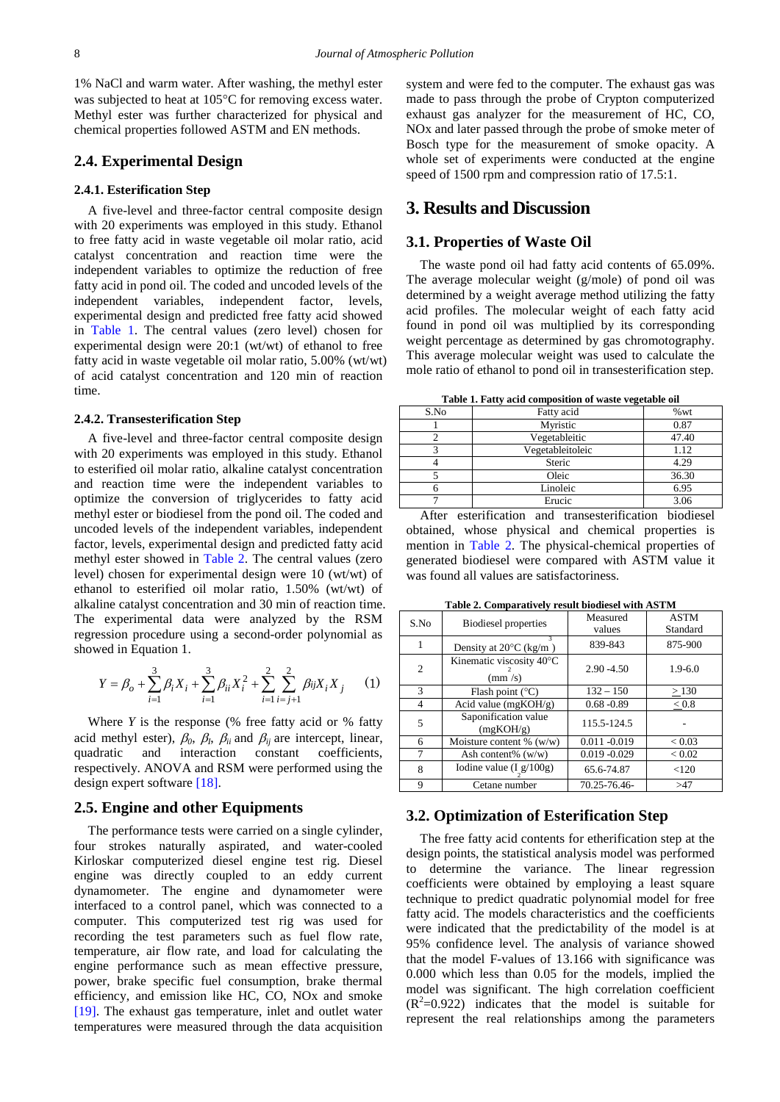1% NaCl and warm water. After washing, the methyl ester was subjected to heat at 105°C for removing excess water. Methyl ester was further characterized for physical and chemical properties followed ASTM and EN methods.

## **2.4. Experimental Design**

#### **2.4.1. Esterification Step**

A five-level and three-factor central composite design with 20 experiments was employed in this study. Ethanol to free fatty acid in waste vegetable oil molar ratio, acid catalyst concentration and reaction time were the independent variables to optimize the reduction of free fatty acid in pond oil. The coded and uncoded levels of the independent variables, independent factor, levels, experimental design and predicted free fatty acid showed in [Table 1.](#page-2-0) The central values (zero level) chosen for experimental design were 20:1 (wt/wt) of ethanol to free fatty acid in waste vegetable oil molar ratio, 5.00% (wt/wt) of acid catalyst concentration and 120 min of reaction time.

#### **2.4.2. Transesterification Step**

A five-level and three-factor central composite design with 20 experiments was employed in this study. Ethanol to esterified oil molar ratio, alkaline catalyst concentration and reaction time were the independent variables to optimize the conversion of triglycerides to fatty acid methyl ester or biodiesel from the pond oil. The coded and uncoded levels of the independent variables, independent factor, levels, experimental design and predicted fatty acid methyl ester showed in [Table 2.](#page-2-1) The central values (zero level) chosen for experimental design were 10 (wt/wt) of ethanol to esterified oil molar ratio, 1.50% (wt/wt) of alkaline catalyst concentration and 30 min of reaction time. The experimental data were analyzed by the RSM regression procedure using a second-order polynomial as showed in Equation 1.

$$
Y = \beta_o + \sum_{i=1}^{3} \beta_i X_i + \sum_{i=1}^{3} \beta_{ii} X_i^2 + \sum_{i=1}^{2} \sum_{i=j+1}^{2} \beta_{ij} X_i X_j \qquad (1)
$$

Where *Y* is the response (% free fatty acid or % fatty acid methyl ester),  $\beta_0$ ,  $\beta_l$ ,  $\beta_{li}$  and  $\beta_{lj}$  are intercept, linear, quadratic and interaction constant coefficients, respectively. ANOVA and RSM were performed using the design expert softwar[e \[18\].](#page-5-9)

### **2.5. Engine and other Equipments**

The performance tests were carried on a single cylinder, four strokes naturally aspirated, and water-cooled Kirloskar computerized diesel engine test rig. Diesel engine was directly coupled to an eddy current dynamometer. The engine and dynamometer were interfaced to a control panel, which was connected to a computer. This computerized test rig was used for recording the test parameters such as fuel flow rate, temperature, air flow rate, and load for calculating the engine performance such as mean effective pressure, power, brake specific fuel consumption, brake thermal efficiency, and emission like HC, CO, NOx and smoke [\[19\].](#page-5-10) The exhaust gas temperature, inlet and outlet water temperatures were measured through the data acquisition system and were fed to the computer. The exhaust gas was made to pass through the probe of Crypton computerized exhaust gas analyzer for the measurement of HC, CO, NOx and later passed through the probe of smoke meter of Bosch type for the measurement of smoke opacity. A whole set of experiments were conducted at the engine speed of 1500 rpm and compression ratio of 17.5:1.

# **3. Results and Discussion**

### **3.1. Properties of Waste Oil**

The waste pond oil had fatty acid contents of 65.09%. The average molecular weight (g/mole) of pond oil was determined by a weight average method utilizing the fatty acid profiles. The molecular weight of each fatty acid found in pond oil was multiplied by its corresponding weight percentage as determined by gas chromotography. This average molecular weight was used to calculate the mole ratio of ethanol to pond oil in transesterification step.

**Table 1. Fatty acid composition of waste vegetable oil**

<span id="page-2-0"></span>

| $\cdots$<br>-- ------- -- <sub>-</sub> ------- |                  |       |  |
|------------------------------------------------|------------------|-------|--|
| S.No                                           | Fatty acid       | %wt   |  |
|                                                | Myristic         | 0.87  |  |
|                                                | Vegetableitic    | 47.40 |  |
|                                                | Vegetableitoleic | 1.12  |  |
|                                                | Steric           | 4.29  |  |
|                                                | Oleic            | 36.30 |  |
|                                                | Linoleic         | 6.95  |  |
|                                                | Erucic           | 3.06  |  |

After esterification and transesterification biodiesel obtained, whose physical and chemical properties is mention in [Table 2.](#page-2-1) The physical-chemical properties of generated biodiesel were compared with ASTM value it was found all values are satisfactoriness.

**Table 2. Comparatively result biodiesel with ASTM**

<span id="page-2-1"></span>

| S.No           | <b>Biodiesel</b> properties                             | Measured<br>values | <b>ASTM</b><br>Standard |
|----------------|---------------------------------------------------------|--------------------|-------------------------|
|                | 3<br>Density at $20^{\circ}$ C (kg/m)                   | 839-843            | 875-900                 |
| $\overline{2}$ | Kinematic viscosity 40°C<br>$\left(\frac{mm}{s}\right)$ | $2.90 - 4.50$      | $1.9 - 6.0$             |
| 3              | Flash point $(^{\circ}C)$                               | $132 - 150$        | > 130                   |
| 4              | Acid value ( $mgKOH/g$ )                                | $0.68 - 0.89$      | < 0.8                   |
| 5              | Saponification value<br>(mgKOH/g)                       | 115.5-124.5        |                         |
| 6              | Moisture content $\%$ (w/w)                             | $0.011 - 0.019$    | < 0.03                  |
| 7              | Ash content% $(w/w)$                                    | $0.019 - 0.029$    | ${}_{< 0.02}$           |
| 8              | Iodine value $(I_g/100g)$                               | 65.6-74.87         | < 120                   |
| 9              | Cetane number                                           | 70.25-76.46-       | >47                     |

## **3.2. Optimization of Esterification Step**

The free fatty acid contents for etherification step at the design points, the statistical analysis model was performed to determine the variance. The linear regression coefficients were obtained by employing a least square technique to predict quadratic polynomial model for free fatty acid. The models characteristics and the coefficients were indicated that the predictability of the model is at 95% confidence level. The analysis of variance showed that the model F-values of 13.166 with significance was 0.000 which less than 0.05 for the models, implied the model was significant. The high correlation coefficient  $(R<sup>2</sup>=0.922)$  indicates that the model is suitable for represent the real relationships among the parameters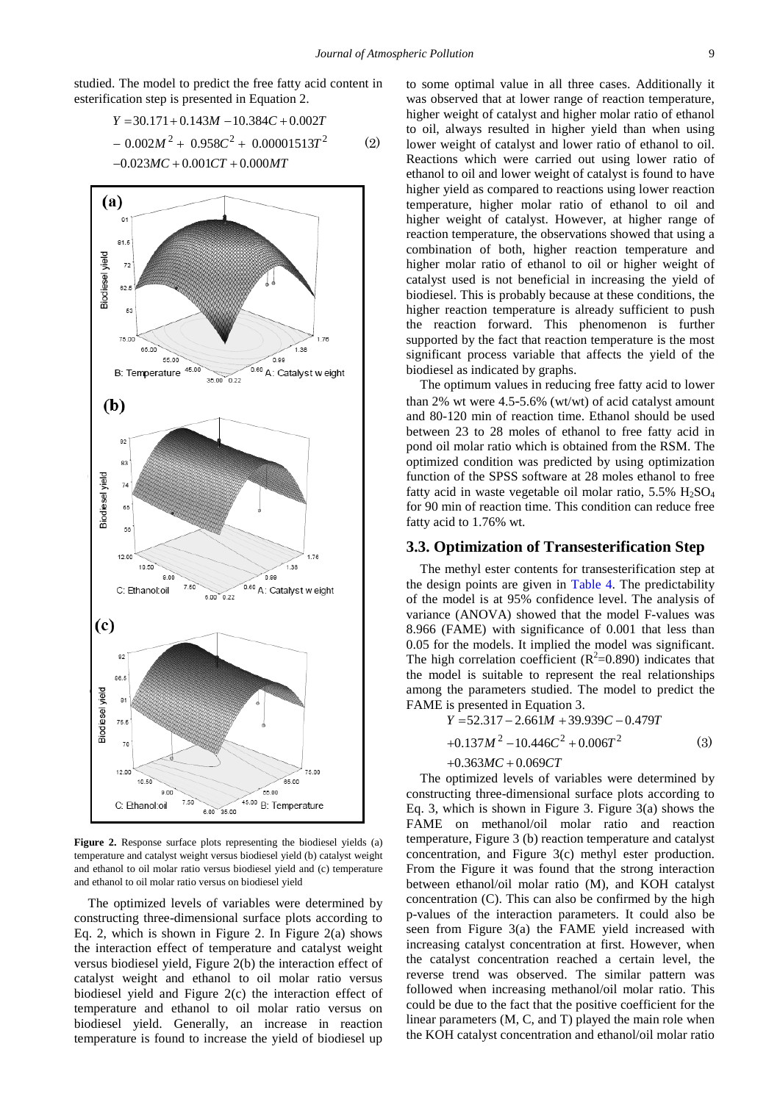studied. The model to predict the free fatty acid content in esterification step is presented in Equation 2.

$$
Y = 30.171 + 0.143M - 10.384C + 0.002T
$$
  
- 0.002M<sup>2</sup> + 0.958C<sup>2</sup> + 0.00001513T<sup>2</sup> (2)  
-0.023MC + 0.001CT + 0.000MT



**Figure 2.** Response surface plots representing the biodiesel yields (a) temperature and catalyst weight versus biodiesel yield (b) catalyst weight and ethanol to oil molar ratio versus biodiesel yield and (c) temperature and ethanol to oil molar ratio versus on biodiesel yield

The optimized levels of variables were determined by constructing three-dimensional surface plots according to Eq. 2, which is shown in Figure 2. In Figure  $2(a)$  shows the interaction effect of temperature and catalyst weight versus biodiesel yield, Figure 2(b) the interaction effect of catalyst weight and ethanol to oil molar ratio versus biodiesel yield and Figure 2(c) the interaction effect of temperature and ethanol to oil molar ratio versus on biodiesel yield. Generally, an increase in reaction temperature is found to increase the yield of biodiesel up

to some optimal value in all three cases. Additionally it was observed that at lower range of reaction temperature, higher weight of catalyst and higher molar ratio of ethanol to oil, always resulted in higher yield than when using lower weight of catalyst and lower ratio of ethanol to oil. Reactions which were carried out using lower ratio of ethanol to oil and lower weight of catalyst is found to have higher yield as compared to reactions using lower reaction temperature, higher molar ratio of ethanol to oil and higher weight of catalyst. However, at higher range of reaction temperature, the observations showed that using a combination of both, higher reaction temperature and higher molar ratio of ethanol to oil or higher weight of catalyst used is not beneficial in increasing the yield of biodiesel. This is probably because at these conditions, the higher reaction temperature is already sufficient to push the reaction forward. This phenomenon is further supported by the fact that reaction temperature is the most significant process variable that affects the yield of the biodiesel as indicated by graphs.

The optimum values in reducing free fatty acid to lower than 2% wt were 4.5-5.6% (wt/wt) of acid catalyst amount and 80-120 min of reaction time. Ethanol should be used between 23 to 28 moles of ethanol to free fatty acid in pond oil molar ratio which is obtained from the RSM. The optimized condition was predicted by using optimization function of the SPSS software at 28 moles ethanol to free fatty acid in waste vegetable oil molar ratio,  $5.5\%$  H<sub>2</sub>SO<sub>4</sub> for 90 min of reaction time. This condition can reduce free fatty acid to 1.76% wt.

#### **3.3. Optimization of Transesterification Step**

The methyl ester contents for transesterification step at the design points are given in Table 4. The predictability of the model is at 95% confidence level. The analysis of variance (ANOVA) showed that the model F-values was 8.966 (FAME) with significance of 0.001 that less than 0.05 for the models. It implied the model was significant. The high correlation coefficient ( $R^2$ =0.890) indicates that the model is suitable to represent the real relationships among the parameters studied. The model to predict the FAME is presented in Equation 3.

$$
Y = 52.317 - 2.661M + 39.939C - 0.479T
$$
  
+0.137M<sup>2</sup> - 10.446C<sup>2</sup> + 0.006T<sup>2</sup> (3)  
+0.363MC + 0.069CT

The optimized levels of variables were determined by constructing three-dimensional surface plots according to Eq. 3, which is shown in Figure 3. Figure 3(a) shows the FAME on methanol/oil molar ratio and reaction temperature, Figure 3 (b) reaction temperature and catalyst concentration, and Figure 3(c) methyl ester production. From the Figure it was found that the strong interaction between ethanol/oil molar ratio (M), and KOH catalyst concentration (C). This can also be confirmed by the high p-values of the interaction parameters. It could also be seen from Figure 3(a) the FAME yield increased with increasing catalyst concentration at first. However, when the catalyst concentration reached a certain level, the reverse trend was observed. The similar pattern was followed when increasing methanol/oil molar ratio. This could be due to the fact that the positive coefficient for the linear parameters (M, C, and T) played the main role when the KOH catalyst concentration and ethanol/oil molar ratio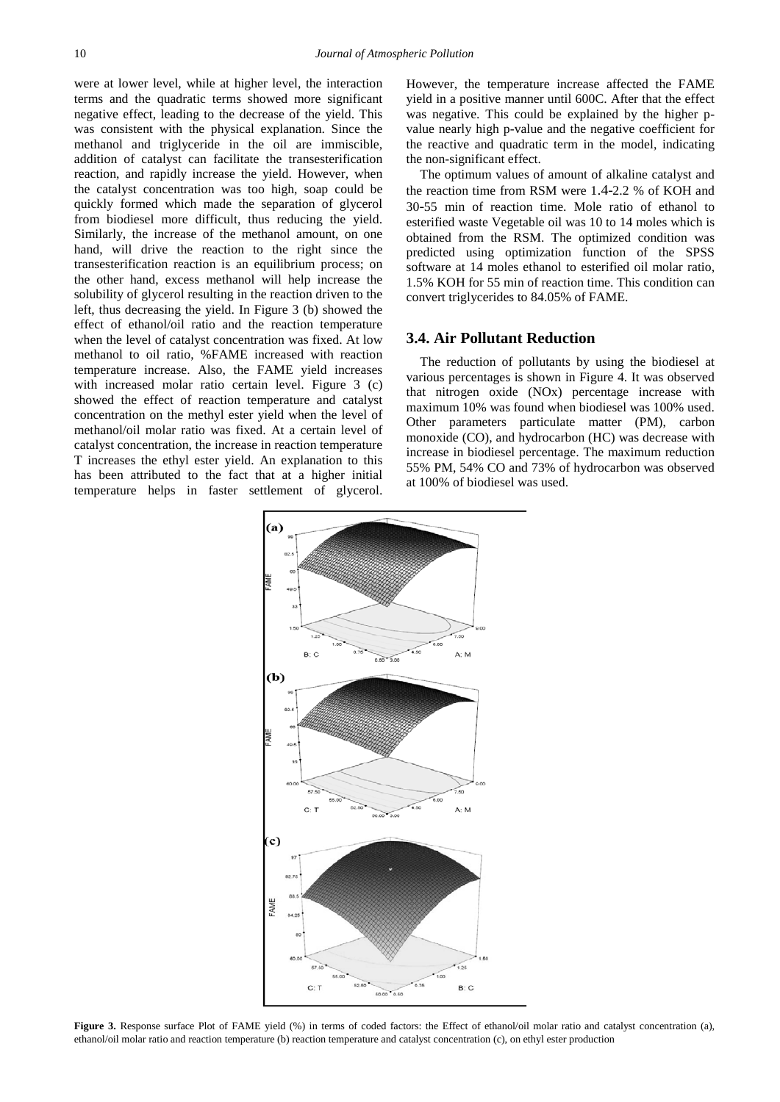were at lower level, while at higher level, the interaction terms and the quadratic terms showed more significant negative effect, leading to the decrease of the yield. This was consistent with the physical explanation. Since the methanol and triglyceride in the oil are immiscible, addition of catalyst can facilitate the transesterification reaction, and rapidly increase the yield. However, when the catalyst concentration was too high, soap could be quickly formed which made the separation of glycerol from biodiesel more difficult, thus reducing the yield. Similarly, the increase of the methanol amount, on one hand, will drive the reaction to the right since the transesterification reaction is an equilibrium process; on the other hand, excess methanol will help increase the solubility of glycerol resulting in the reaction driven to the left, thus decreasing the yield. In Figure 3 (b) showed the effect of ethanol/oil ratio and the reaction temperature when the level of catalyst concentration was fixed. At low methanol to oil ratio, %FAME increased with reaction temperature increase. Also, the FAME yield increases with increased molar ratio certain level. Figure 3 (c) showed the effect of reaction temperature and catalyst concentration on the methyl ester yield when the level of methanol/oil molar ratio was fixed. At a certain level of catalyst concentration, the increase in reaction temperature T increases the ethyl ester yield. An explanation to this has been attributed to the fact that at a higher initial temperature helps in faster settlement of glycerol.

However, the temperature increase affected the FAME yield in a positive manner until 600C. After that the effect was negative. This could be explained by the higher pvalue nearly high p-value and the negative coefficient for the reactive and quadratic term in the model, indicating the non-significant effect.

The optimum values of amount of alkaline catalyst and the reaction time from RSM were 1.4-2.2 % of KOH and 30-55 min of reaction time. Mole ratio of ethanol to esterified waste Vegetable oil was 10 to 14 moles which is obtained from the RSM. The optimized condition was predicted using optimization function of the SPSS software at 14 moles ethanol to esterified oil molar ratio, 1.5% KOH for 55 min of reaction time. This condition can convert triglycerides to 84.05% of FAME.

# **3.4. Air Pollutant Reduction**

The reduction of pollutants by using the biodiesel at various percentages is shown in Figure 4. It was observed that nitrogen oxide (NOx) percentage increase with maximum 10% was found when biodiesel was 100% used. Other parameters particulate matter (PM), carbon monoxide (CO), and hydrocarbon (HC) was decrease with increase in biodiesel percentage. The maximum reduction 55% PM, 54% CO and 73% of hydrocarbon was observed at 100% of biodiesel was used.



**Figure 3.** Response surface Plot of FAME vield (%) in terms of coded factors: the Effect of ethanol/oil molar ratio and catalyst concentration (a), ethanol/oil molar ratio and reaction temperature (b) reaction temperature and catalyst concentration (c), on ethyl ester production